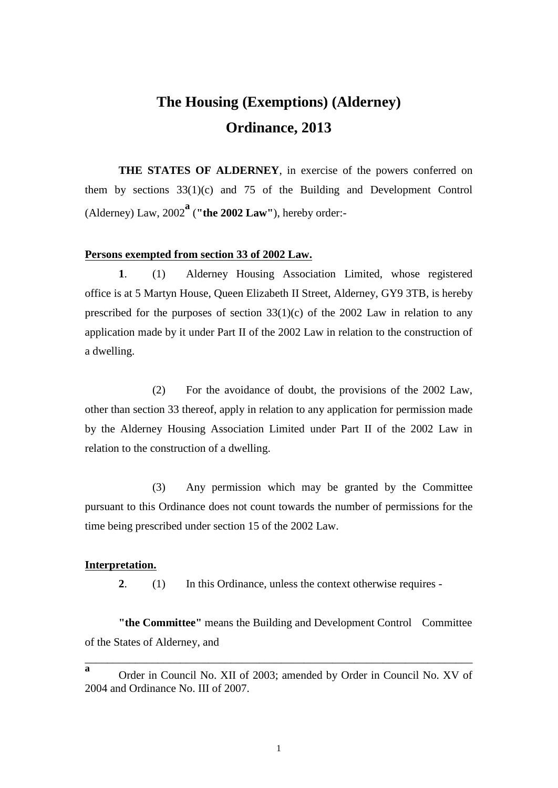## **The Housing (Exemptions) (Alderney) Ordinance, 2013**

**THE STATES OF ALDERNEY**, in exercise of the powers conferred on them by sections 33(1)(c) and 75 of the Building and Development Control (Alderney) Law, 2002**<sup>a</sup>** (**"the 2002 Law"**), hereby order:-

## **Persons exempted from section 33 of 2002 Law.**

**1**. (1) Alderney Housing Association Limited, whose registered office is at 5 Martyn House, Queen Elizabeth II Street, Alderney, GY9 3TB, is hereby prescribed for the purposes of section  $33(1)(c)$  of the 2002 Law in relation to any application made by it under Part II of the 2002 Law in relation to the construction of a dwelling.

(2) For the avoidance of doubt, the provisions of the 2002 Law, other than section 33 thereof, apply in relation to any application for permission made by the Alderney Housing Association Limited under Part II of the 2002 Law in relation to the construction of a dwelling.

(3) Any permission which may be granted by the Committee pursuant to this Ordinance does not count towards the number of permissions for the time being prescribed under section 15 of the 2002 Law.

## **Interpretation.**

**2**. (1) In this Ordinance, unless the context otherwise requires -

**"the Committee"** means the Building and Development Control Committee of the States of Alderney, and

\_\_\_\_\_\_\_\_\_\_\_\_\_\_\_\_\_\_\_\_\_\_\_\_\_\_\_\_\_\_\_\_\_\_\_\_\_\_\_\_\_\_\_\_\_\_\_\_\_\_\_\_\_\_\_\_\_\_\_\_\_\_\_\_\_\_\_\_\_

**a** Order in Council No. XII of 2003; amended by Order in Council No. XV of 2004 and Ordinance No. III of 2007.